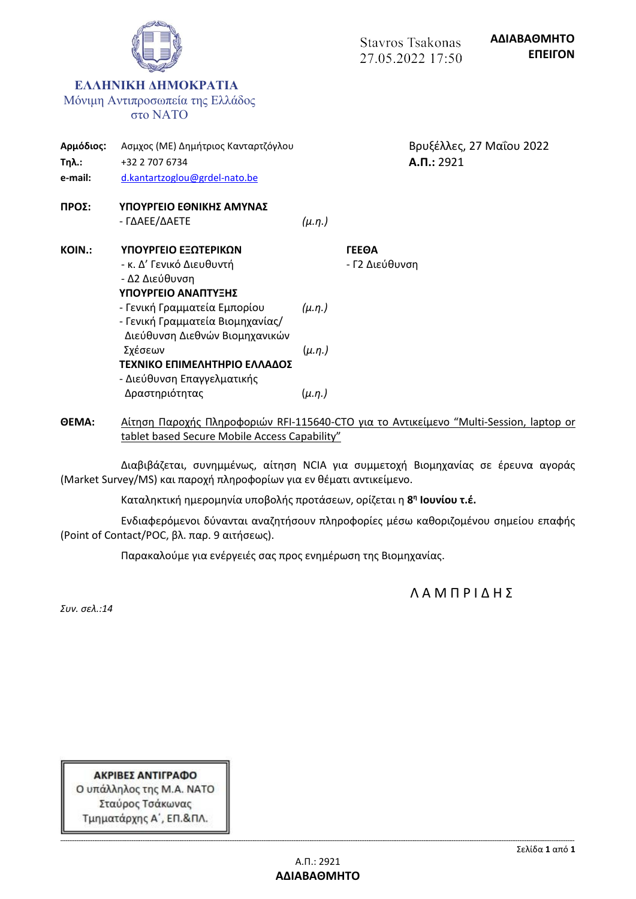

**ΘΕΜΑ:** Αίτηση Παροχής Πληροφοριών RFI-115640-CTO για το Αντικείμενο "Multi-Session, laptop or tablet based Secure Mobile Access Capability"

Διαβιβάζεται, συνημμένως, αίτηση NCIA για συμμετοχή Βιομηχανίας σε έρευνα αγοράς (Market Survey/MS) και παροχή πληροφορίων για εν θέματι αντικείμενο.

Καταληκτική ημερομηνία υποβολής προτάσεων, ορίζεται η **8 η Ιουνίου τ.έ.**

Ενδιαφερόμενοι δύνανται αναζητήσουν πληροφορίες μέσω καθοριζομένου σημείου επαφής (Point of Contact/POC, βλ. παρ. 9 αιτήσεως).

Παρακαλούμε για ενέργειές σας προς ενημέρωση της Βιομηχανίας.

Λ Α Μ Π Ρ Ι Δ Η Σ

*Συν. σελ.:14*

ΑΚΡΙΒΕΣ ΑΝΤΙΓΡΑΦΟ Ο υπάλληλος της Μ.Α. ΝΑΤΟ Σταύρος Τσάκωνας Τμηματάρχης Α΄, ΕΠ.&ΠΛ.

**-------------------------------------------------------------------------------------------------------------------------------------------------------------------------------------------------------------------------------------------------------------------------------------------------**

**ΕΠΕΙΓΟΝ**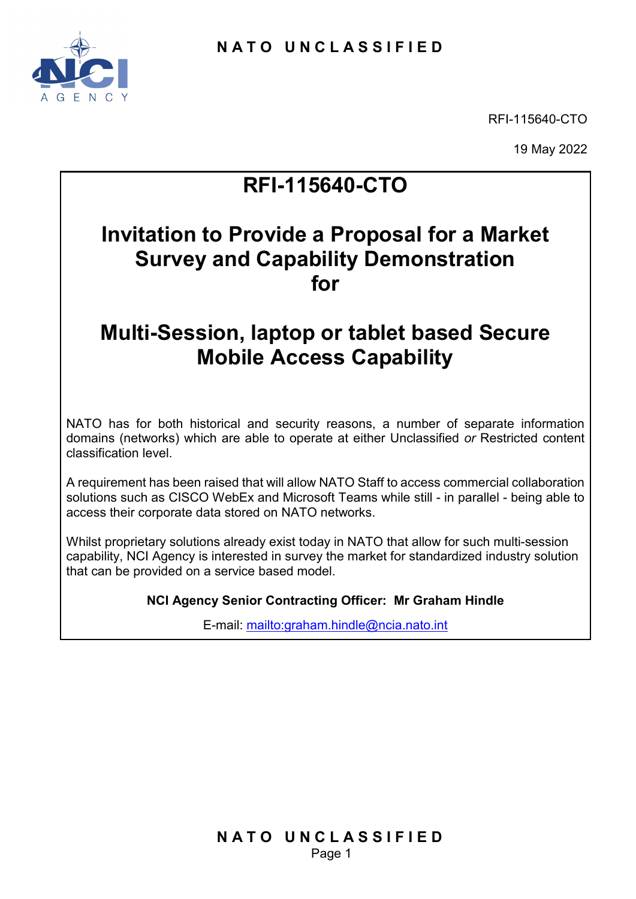

RFI-115640-CTO

19 May 2022

# **RFI-115640-CTO**

# **Invitation to Provide a Proposal for a Market Survey and Capability Demonstration for**

## **Multi-Session, laptop or tablet based Secure Mobile Access Capability**

NATO has for both historical and security reasons, a number of separate information domains (networks) which are able to operate at either Unclassified *or* Restricted content classification level.

A requirement has been raised that will allow NATO Staff to access commercial collaboration solutions such as CISCO WebEx and Microsoft Teams while still - in parallel - being able to access their corporate data stored on NATO networks.

Whilst proprietary solutions already exist today in NATO that allow for such multi-session capability, NCI Agency is interested in survey the market for standardized industry solution that can be provided on a service based model.

### **NCI Agency Senior Contracting Officer: Mr Graham Hindle**

E-mail:<mailto:graham.hindle@ncia.nato.int>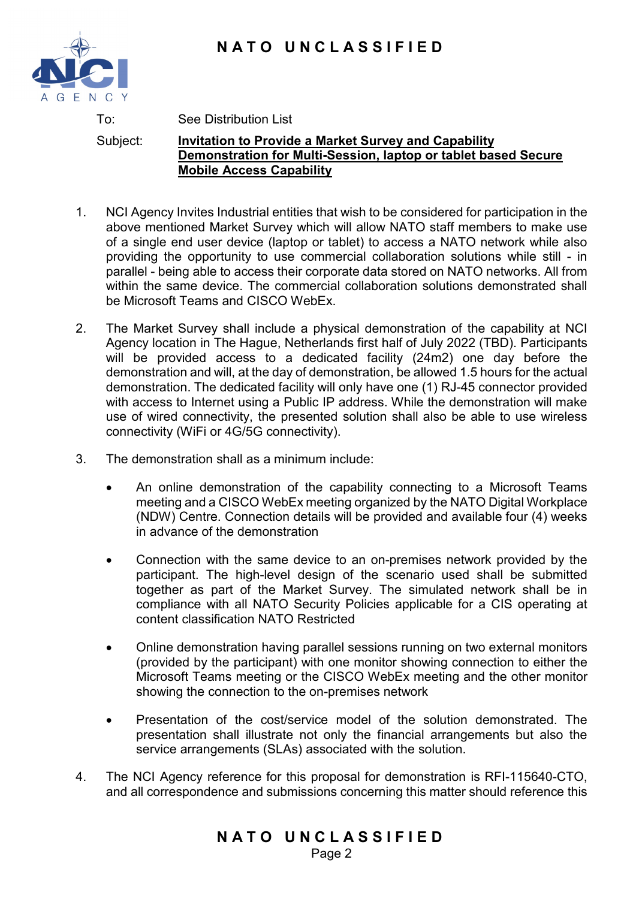

To: See Distribution List

#### Subject: **Invitation to Provide a Market Survey and Capability Demonstration for Multi-Session, laptop or tablet based Secure Mobile Access Capability**

- 1. NCI Agency Invites Industrial entities that wish to be considered for participation in the above mentioned Market Survey which will allow NATO staff members to make use of a single end user device (laptop or tablet) to access a NATO network while also providing the opportunity to use commercial collaboration solutions while still - in parallel - being able to access their corporate data stored on NATO networks. All from within the same device. The commercial collaboration solutions demonstrated shall be Microsoft Teams and CISCO WebEx.
- 2. The Market Survey shall include a physical demonstration of the capability at NCI Agency location in The Hague, Netherlands first half of July 2022 (TBD). Participants will be provided access to a dedicated facility (24m2) one day before the demonstration and will, at the day of demonstration, be allowed 1.5 hours for the actual demonstration. The dedicated facility will only have one (1) RJ-45 connector provided with access to Internet using a Public IP address. While the demonstration will make use of wired connectivity, the presented solution shall also be able to use wireless connectivity (WiFi or 4G/5G connectivity).
- 3. The demonstration shall as a minimum include:
	- An online demonstration of the capability connecting to a Microsoft Teams meeting and a CISCO WebEx meeting organized by the NATO Digital Workplace (NDW) Centre. Connection details will be provided and available four (4) weeks in advance of the demonstration
	- Connection with the same device to an on-premises network provided by the participant. The high-level design of the scenario used shall be submitted together as part of the Market Survey. The simulated network shall be in compliance with all NATO Security Policies applicable for a CIS operating at content classification NATO Restricted
	- Online demonstration having parallel sessions running on two external monitors (provided by the participant) with one monitor showing connection to either the Microsoft Teams meeting or the CISCO WebEx meeting and the other monitor showing the connection to the on-premises network
	- Presentation of the cost/service model of the solution demonstrated. The presentation shall illustrate not only the financial arrangements but also the service arrangements (SLAs) associated with the solution.
- 4. The NCI Agency reference for this proposal for demonstration is RFI-115640-CTO, and all correspondence and submissions concerning this matter should reference this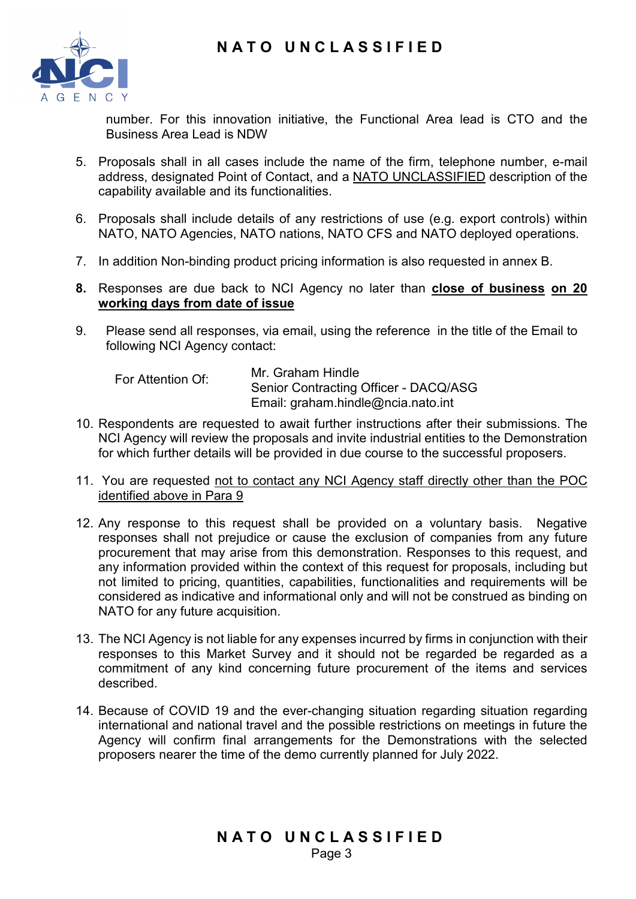

number. For this innovation initiative, the Functional Area lead is CTO and the Business Area Lead is NDW

- 5. Proposals shall in all cases include the name of the firm, telephone number, e-mail address, designated Point of Contact, and a NATO UNCLASSIFIED description of the capability available and its functionalities.
- 6. Proposals shall include details of any restrictions of use (e.g. export controls) within NATO, NATO Agencies, NATO nations, NATO CFS and NATO deployed operations.
- 7. In addition Non-binding product pricing information is also requested in annex B.
- **8.** Responses are due back to NCI Agency no later than **close of business on 20 working days from date of issue**
- 9. Please send all responses, via email, using the reference in the title of the Email to following NCI Agency contact:

| For Attention Of: | Mr. Graham Hindle                     |
|-------------------|---------------------------------------|
|                   | Senior Contracting Officer - DACQ/ASG |
|                   | Email: graham.hindle@ncia.nato.int    |

- 10. Respondents are requested to await further instructions after their submissions. The NCI Agency will review the proposals and invite industrial entities to the Demonstration for which further details will be provided in due course to the successful proposers.
- 11. You are requested not to contact any NCI Agency staff directly other than the POC identified above in Para 9
- 12. Any response to this request shall be provided on a voluntary basis. Negative responses shall not prejudice or cause the exclusion of companies from any future procurement that may arise from this demonstration. Responses to this request, and any information provided within the context of this request for proposals, including but not limited to pricing, quantities, capabilities, functionalities and requirements will be considered as indicative and informational only and will not be construed as binding on NATO for any future acquisition.
- 13. The NCI Agency is not liable for any expenses incurred by firms in conjunction with their responses to this Market Survey and it should not be regarded be regarded as a commitment of any kind concerning future procurement of the items and services described.
- 14. Because of COVID 19 and the ever-changing situation regarding situation regarding international and national travel and the possible restrictions on meetings in future the Agency will confirm final arrangements for the Demonstrations with the selected proposers nearer the time of the demo currently planned for July 2022.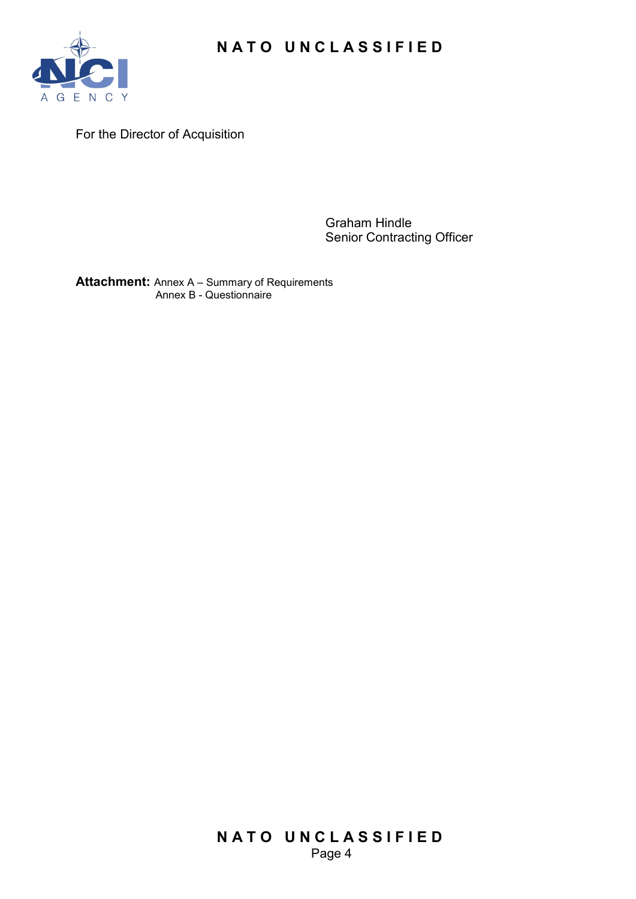



For the Director of Acquisition

Graham Hindle Senior Contracting Officer

**Attachment:** Annex A – Summary of Requirements Annex B - Questionnaire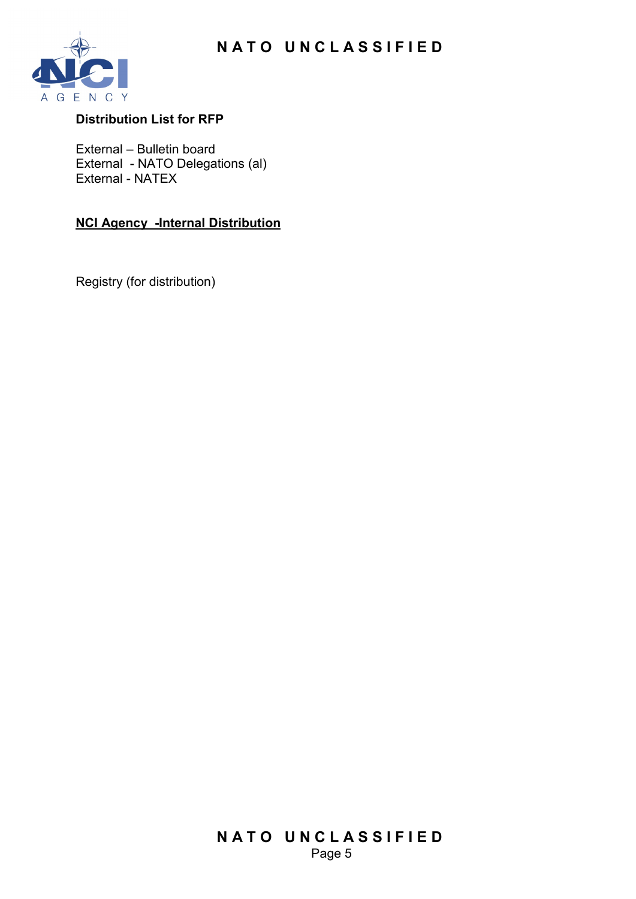

#### **Distribution List for RFP**

External – Bulletin board External - NATO Delegations (al) External - NATEX

#### **NCI Agency -Internal Distribution**

Registry (for distribution)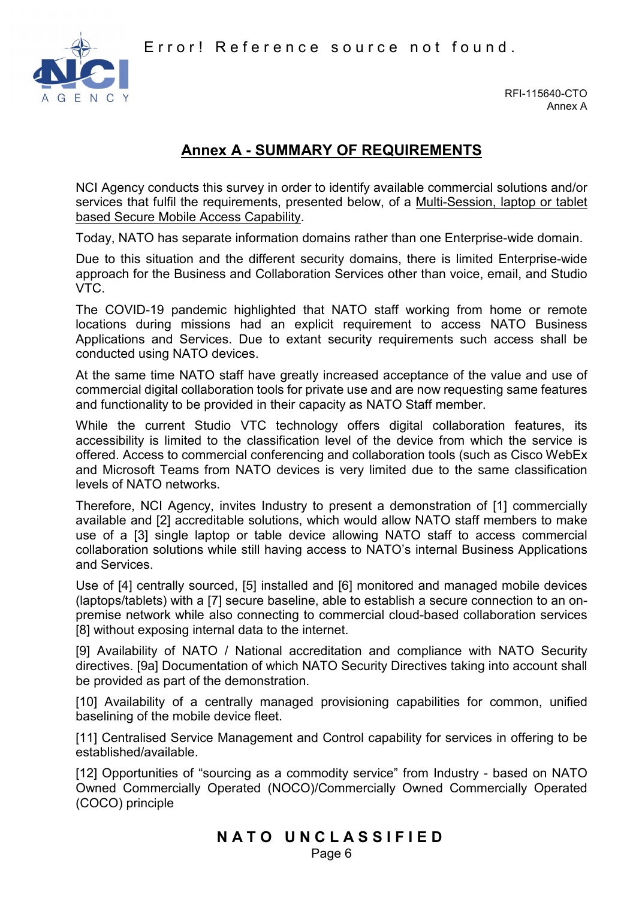Error! Reference source not found.



RFI-115640-CTO Annex A

## **Annex A - SUMMARY OF REQUIREMENTS**

NCI Agency conducts this survey in order to identify available commercial solutions and/or services that fulfil the requirements, presented below, of a Multi-Session, laptop or tablet based Secure Mobile Access Capability.

Today, NATO has separate information domains rather than one Enterprise-wide domain.

Due to this situation and the different security domains, there is limited Enterprise-wide approach for the Business and Collaboration Services other than voice, email, and Studio VTC.

The COVID-19 pandemic highlighted that NATO staff working from home or remote locations during missions had an explicit requirement to access NATO Business Applications and Services. Due to extant security requirements such access shall be conducted using NATO devices.

At the same time NATO staff have greatly increased acceptance of the value and use of commercial digital collaboration tools for private use and are now requesting same features and functionality to be provided in their capacity as NATO Staff member.

While the current Studio VTC technology offers digital collaboration features, its accessibility is limited to the classification level of the device from which the service is offered. Access to commercial conferencing and collaboration tools (such as Cisco WebEx and Microsoft Teams from NATO devices is very limited due to the same classification levels of NATO networks.

Therefore, NCI Agency, invites Industry to present a demonstration of [1] commercially available and [2] accreditable solutions, which would allow NATO staff members to make use of a [3] single laptop or table device allowing NATO staff to access commercial collaboration solutions while still having access to NATO's internal Business Applications and Services.

Use of [4] centrally sourced, [5] installed and [6] monitored and managed mobile devices (laptops/tablets) with a [7] secure baseline, able to establish a secure connection to an onpremise network while also connecting to commercial cloud-based collaboration services [8] without exposing internal data to the internet.

[9] Availability of NATO / National accreditation and compliance with NATO Security directives. [9a] Documentation of which NATO Security Directives taking into account shall be provided as part of the demonstration.

[10] Availability of a centrally managed provisioning capabilities for common, unified baselining of the mobile device fleet.

[11] Centralised Service Management and Control capability for services in offering to be established/available.

[12] Opportunities of "sourcing as a commodity service" from Industry - based on NATO Owned Commercially Operated (NOCO)/Commercially Owned Commercially Operated (COCO) principle

**NATO UNCLASSIFIED**  Page 6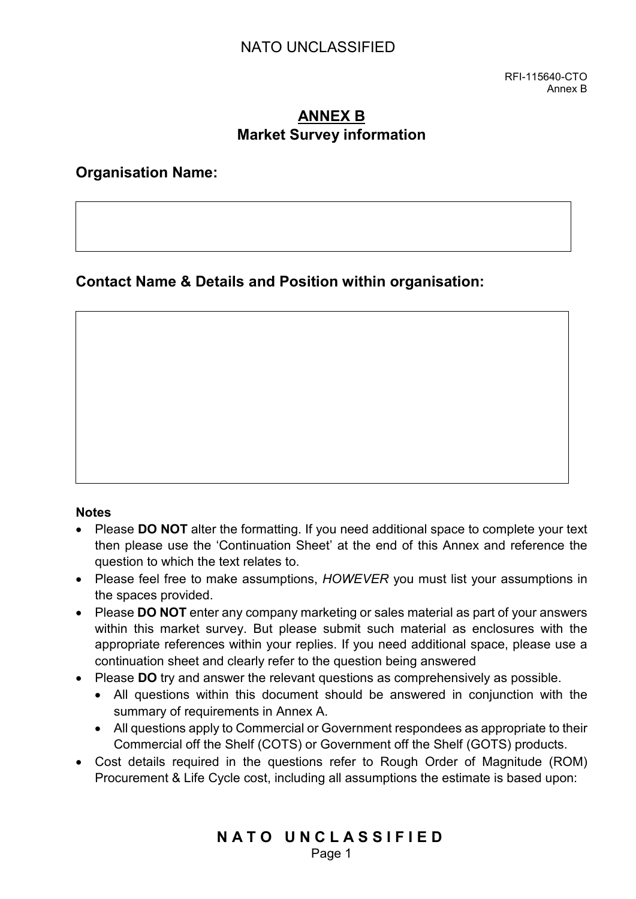RFI-115640-CTO Annex B

### **ANNEX B Market Survey information**

**Organisation Name:** 

**Contact Name & Details and Position within organisation:**

#### **Notes**

- Please **DO NOT** alter the formatting. If you need additional space to complete your text then please use the 'Continuation Sheet' at the end of this Annex and reference the question to which the text relates to.
- Please feel free to make assumptions, *HOWEVER* you must list your assumptions in the spaces provided.
- Please **DO NOT** enter any company marketing or sales material as part of your answers within this market survey. But please submit such material as enclosures with the appropriate references within your replies. If you need additional space, please use a continuation sheet and clearly refer to the question being answered
- Please **DO** try and answer the relevant questions as comprehensively as possible.
	- All questions within this document should be answered in conjunction with the summary of requirements in Annex A.
	- All questions apply to Commercial or Government respondees as appropriate to their Commercial off the Shelf (COTS) or Government off the Shelf (GOTS) products.
- Cost details required in the questions refer to Rough Order of Magnitude (ROM) Procurement & Life Cycle cost, including all assumptions the estimate is based upon:

## **NATO UNCLASSIFIED**

Page 1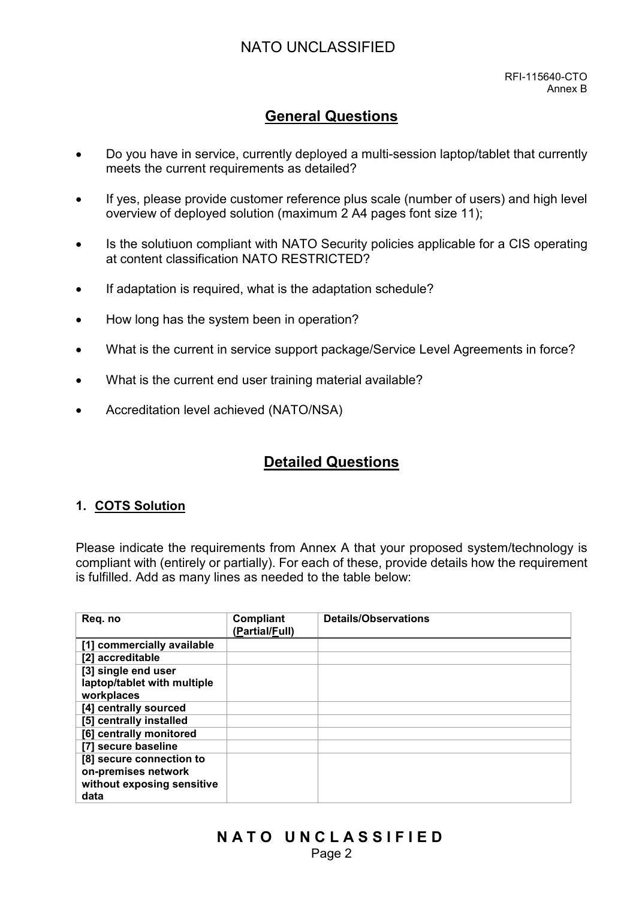RFI-115640-CTO Annex B

## **General Questions**

- Do you have in service, currently deployed a multi-session laptop/tablet that currently meets the current requirements as detailed?
- If yes, please provide customer reference plus scale (number of users) and high level overview of deployed solution (maximum 2 A4 pages font size 11);
- Is the solutiuon compliant with NATO Security policies applicable for a CIS operating at content classification NATO RESTRICTED?
- If adaptation is required, what is the adaptation schedule?
- How long has the system been in operation?
- What is the current in service support package/Service Level Agreements in force?
- What is the current end user training material available?
- Accreditation level achieved (NATO/NSA)

## **Detailed Questions**

#### **1. COTS Solution**

Please indicate the requirements from Annex A that your proposed system/technology is compliant with (entirely or partially). For each of these, provide details how the requirement is fulfilled. Add as many lines as needed to the table below:

| Req. no                                                                               | Compliant<br>(Partial/Full) | <b>Details/Observations</b> |
|---------------------------------------------------------------------------------------|-----------------------------|-----------------------------|
| [1] commercially available                                                            |                             |                             |
| [2] accreditable                                                                      |                             |                             |
| [3] single end user<br>laptop/tablet with multiple<br>workplaces                      |                             |                             |
| [4] centrally sourced                                                                 |                             |                             |
| [5] centrally installed                                                               |                             |                             |
| [6] centrally monitored                                                               |                             |                             |
| [7] secure baseline                                                                   |                             |                             |
| [8] secure connection to<br>on-premises network<br>without exposing sensitive<br>data |                             |                             |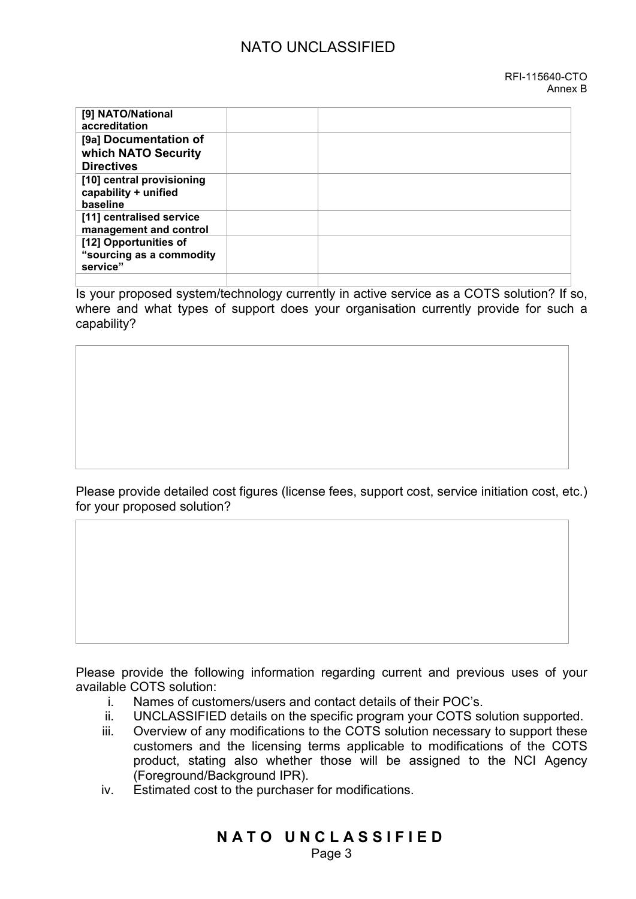#### RFI-115640-CTO Annex B

| [9] NATO/National<br>accreditation                                |  |
|-------------------------------------------------------------------|--|
| [9a] Documentation of<br>which NATO Security<br><b>Directives</b> |  |
| [10] central provisioning<br>capability + unified<br>baseline     |  |
| [11] centralised service<br>management and control                |  |
| [12] Opportunities of<br>"sourcing as a commodity<br>service"     |  |
|                                                                   |  |

Is your proposed system/technology currently in active service as a COTS solution? If so, where and what types of support does your organisation currently provide for such a capability?

Please provide detailed cost figures (license fees, support cost, service initiation cost, etc.) for your proposed solution?

Please provide the following information regarding current and previous uses of your available COTS solution:

- i. Names of customers/users and contact details of their POC's.
- ii. UNCLASSIFIED details on the specific program your COTS solution supported.
- iii. Overview of any modifications to the COTS solution necessary to support these customers and the licensing terms applicable to modifications of the COTS product, stating also whether those will be assigned to the NCI Agency (Foreground/Background IPR).
- iv. Estimated cost to the purchaser for modifications.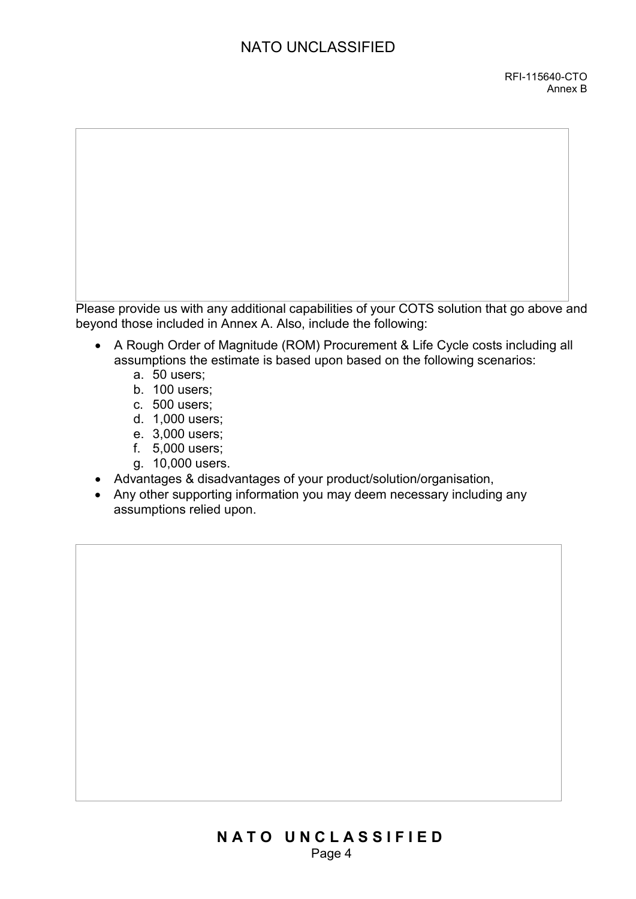Please provide us with any additional capabilities of your COTS solution that go above and beyond those included in Annex A. Also, include the following:

- A Rough Order of Magnitude (ROM) Procurement & Life Cycle costs including all assumptions the estimate is based upon based on the following scenarios:
	- a. 50 users;
	- b. 100 users;
	- c. 500 users;
	- d. 1,000 users;
	- e. 3,000 users;
	- f. 5,000 users;
	- g. 10,000 users.
- Advantages & disadvantages of your product/solution/organisation,
- Any other supporting information you may deem necessary including any assumptions relied upon.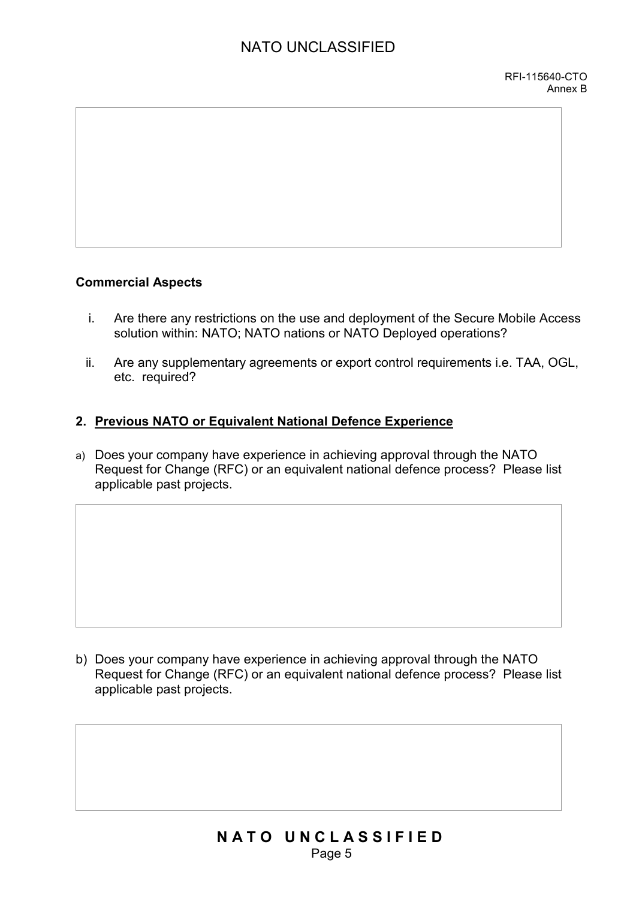#### **Commercial Aspects**

- i. Are there any restrictions on the use and deployment of the Secure Mobile Access solution within: NATO; NATO nations or NATO Deployed operations?
- ii. Are any supplementary agreements or export control requirements i.e. TAA, OGL, etc. required?

#### **2. Previous NATO or Equivalent National Defence Experience**

a) Does your company have experience in achieving approval through the NATO Request for Change (RFC) or an equivalent national defence process? Please list applicable past projects.

b) Does your company have experience in achieving approval through the NATO Request for Change (RFC) or an equivalent national defence process? Please list applicable past projects.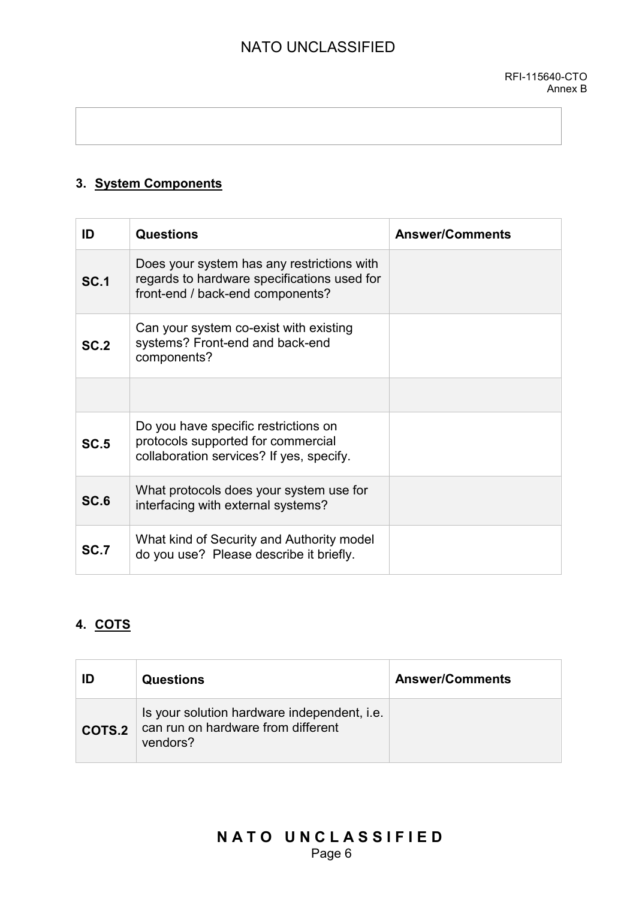## **3. System Components**

| ID          | Questions                                                                                                                     | <b>Answer/Comments</b> |
|-------------|-------------------------------------------------------------------------------------------------------------------------------|------------------------|
| <b>SC.1</b> | Does your system has any restrictions with<br>regards to hardware specifications used for<br>front-end / back-end components? |                        |
| <b>SC.2</b> | Can your system co-exist with existing<br>systems? Front-end and back-end<br>components?                                      |                        |
|             |                                                                                                                               |                        |
| <b>SC.5</b> | Do you have specific restrictions on<br>protocols supported for commercial<br>collaboration services? If yes, specify.        |                        |
| <b>SC.6</b> | What protocols does your system use for<br>interfacing with external systems?                                                 |                        |
| <b>SC.7</b> | What kind of Security and Authority model<br>do you use? Please describe it briefly.                                          |                        |

## **4. COTS**

|        | <b>Questions</b>                                                                              | <b>Answer/Comments</b> |
|--------|-----------------------------------------------------------------------------------------------|------------------------|
| COTS.2 | Is your solution hardware independent, i.e.<br>can run on hardware from different<br>vendors? |                        |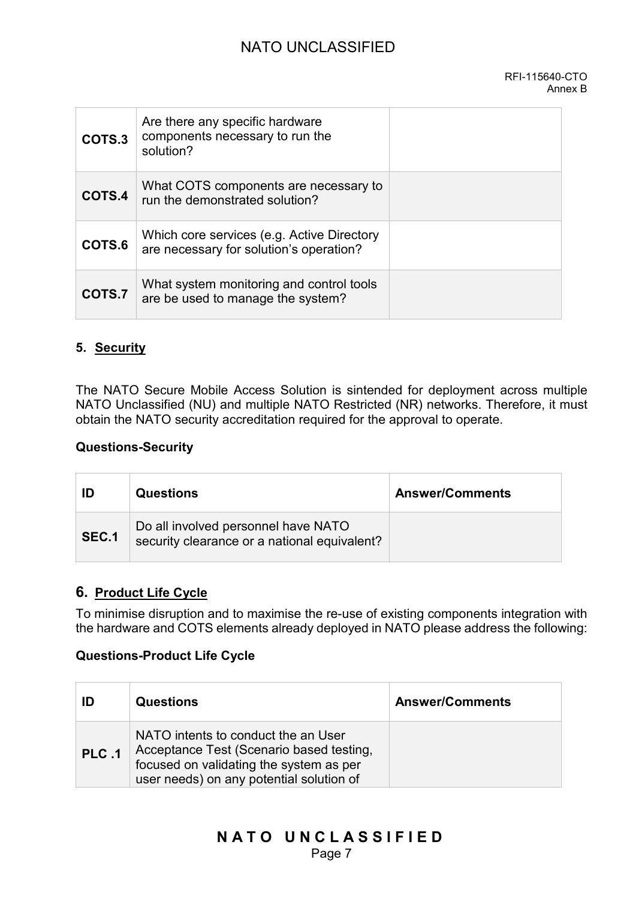| COTS.3 | Are there any specific hardware<br>components necessary to run the<br>solution?       |  |
|--------|---------------------------------------------------------------------------------------|--|
|        |                                                                                       |  |
| COTS.4 | What COTS components are necessary to<br>run the demonstrated solution?               |  |
| COTS.6 | Which core services (e.g. Active Directory<br>are necessary for solution's operation? |  |
| COTS.7 | What system monitoring and control tools<br>are be used to manage the system?         |  |

#### **5. Security**

The NATO Secure Mobile Access Solution is sintended for deployment across multiple NATO Unclassified (NU) and multiple NATO Restricted (NR) networks. Therefore, it must obtain the NATO security accreditation required for the approval to operate.

#### **Questions-Security**

|       | <b>Questions</b>                                                                    | <b>Answer/Comments</b> |
|-------|-------------------------------------------------------------------------------------|------------------------|
| SEC.1 | Do all involved personnel have NATO<br>security clearance or a national equivalent? |                        |

#### **6. Product Life Cycle**

To minimise disruption and to maximise the re-use of existing components integration with the hardware and COTS elements already deployed in NATO please address the following:

#### **Questions-Product Life Cycle**

|       | <b>Questions</b>                                                                                                                                                       | <b>Answer/Comments</b> |
|-------|------------------------------------------------------------------------------------------------------------------------------------------------------------------------|------------------------|
| PLC.1 | NATO intents to conduct the an User<br>Acceptance Test (Scenario based testing,<br>focused on validating the system as per<br>user needs) on any potential solution of |                        |